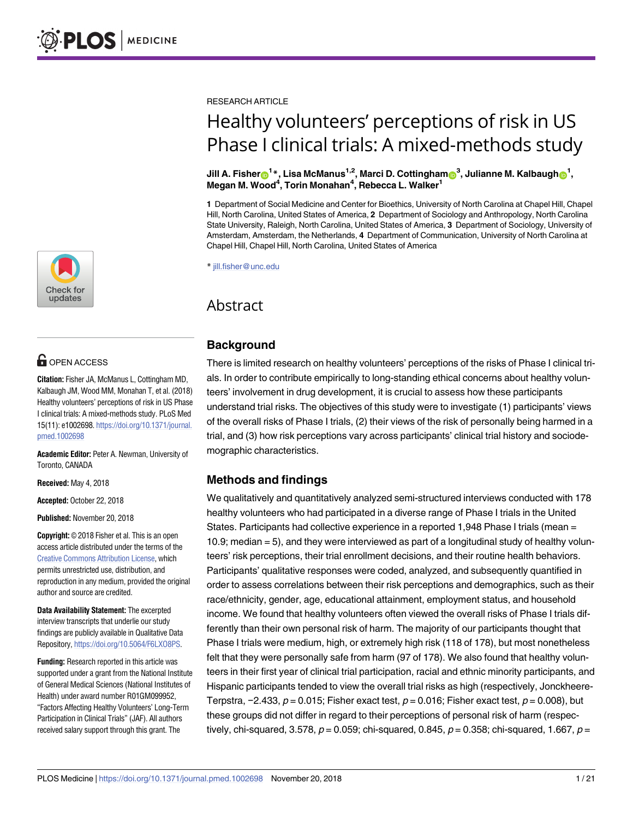

# **OPEN ACCESS**

**Citation:** Fisher JA, McManus L, Cottingham MD, Kalbaugh JM, Wood MM, Monahan T, et al. (2018) Healthy volunteers' perceptions of risk in US Phase I clinical trials: A mixed-methods study. PLoS Med 15(11): e1002698. [https://doi.org/10.1371/journal.](https://doi.org/10.1371/journal.pmed.1002698) [pmed.1002698](https://doi.org/10.1371/journal.pmed.1002698)

**Academic Editor:** Peter A. Newman, University of Toronto, CANADA

**Received:** May 4, 2018

**Accepted:** October 22, 2018

**Published:** November 20, 2018

**Copyright:** © 2018 Fisher et al. This is an open access article distributed under the terms of the Creative Commons [Attribution](http://creativecommons.org/licenses/by/4.0/) License, which permits unrestricted use, distribution, and reproduction in any medium, provided the original author and source are credited.

**Data Availability Statement:** The excerpted interview transcripts that underlie our study findings are publicly available in Qualitative Data Repository, <https://doi.org/10.5064/F6LXO8PS>.

**Funding:** Research reported in this article was supported under a grant from the National Institute of General Medical Sciences (National Institutes of Health) under award number R01GM099952, "Factors Affecting Healthy Volunteers' Long-Term Participation in Clinical Trials"(JAF). All authors received salary support through this grant. The

RESEARCH ARTICLE

# Healthy volunteers' perceptions of risk in US Phase I clinical trials: A mixed-methods study

 $\bm{\theta}$ Jill A. Fisher $\bm{\Theta}^1$ \*, Lisa McManus<sup>1,2</sup>, Marci D. Cottingham $\bm{\Theta}^3$ , Julianne M. Kalbaugh $\bm{\Theta}^1$ , **Megan M. Wood4 , Torin Monahan4 , Rebecca L. Walker1**

**1** Department of Social Medicine and Center for Bioethics, University of North Carolina at Chapel Hill, Chapel Hill, North Carolina, United States of America, **2** Department of Sociology and Anthropology, North Carolina State University, Raleigh, North Carolina, United States of America, **3** Department of Sociology, University of Amsterdam, Amsterdam, the Netherlands, **4** Department of Communication, University of North Carolina at Chapel Hill, Chapel Hill, North Carolina, United States of America

\* jill.fisher@unc.edu

# Abstract

# **Background**

There is limited research on healthy volunteers' perceptions of the risks of Phase I clinical trials. In order to contribute empirically to long-standing ethical concerns about healthy volunteers' involvement in drug development, it is crucial to assess how these participants understand trial risks. The objectives of this study were to investigate (1) participants' views of the overall risks of Phase I trials, (2) their views of the risk of personally being harmed in a trial, and (3) how risk perceptions vary across participants' clinical trial history and sociodemographic characteristics.

# **Methods and findings**

We qualitatively and quantitatively analyzed semi-structured interviews conducted with 178 healthy volunteers who had participated in a diverse range of Phase I trials in the United States. Participants had collective experience in a reported 1,948 Phase I trials (mean = 10.9; median = 5), and they were interviewed as part of a longitudinal study of healthy volunteers' risk perceptions, their trial enrollment decisions, and their routine health behaviors. Participants' qualitative responses were coded, analyzed, and subsequently quantified in order to assess correlations between their risk perceptions and demographics, such as their race/ethnicity, gender, age, educational attainment, employment status, and household income. We found that healthy volunteers often viewed the overall risks of Phase I trials differently than their own personal risk of harm. The majority of our participants thought that Phase I trials were medium, high, or extremely high risk (118 of 178), but most nonetheless felt that they were personally safe from harm (97 of 178). We also found that healthy volunteers in their first year of clinical trial participation, racial and ethnic minority participants, and Hispanic participants tended to view the overall trial risks as high (respectively, Jonckheere-Terpstra,  $-2.433$ ,  $p = 0.015$ ; Fisher exact test,  $p = 0.016$ ; Fisher exact test,  $p = 0.008$ ), but these groups did not differ in regard to their perceptions of personal risk of harm (respectively, chi-squared, 3.578,  $p = 0.059$ ; chi-squared, 0.845,  $p = 0.358$ ; chi-squared, 1.667,  $p = 0.059$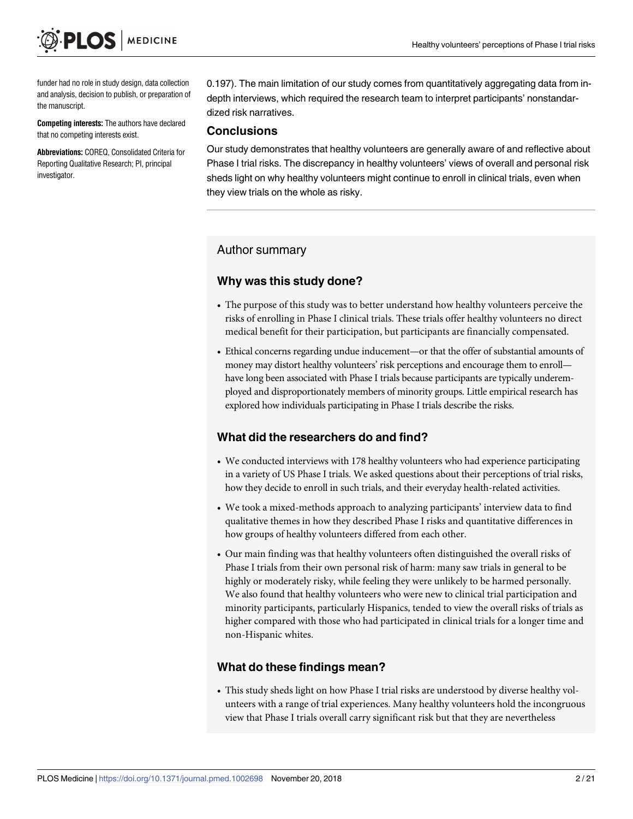funder had no role in study design, data collection and analysis, decision to publish, or preparation of the manuscript.

**Competing interests:** The authors have declared that no competing interests exist.

**Abbreviations:** COREQ, Consolidated Criteria for Reporting Qualitative Research; PI, principal investigator.

0.197). The main limitation of our study comes from quantitatively aggregating data from indepth interviews, which required the research team to interpret participants' nonstandardized risk narratives.

#### **Conclusions**

Our study demonstrates that healthy volunteers are generally aware of and reflective about Phase I trial risks. The discrepancy in healthy volunteers' views of overall and personal risk sheds light on why healthy volunteers might continue to enroll in clinical trials, even when they view trials on the whole as risky.

# Author summary

# **Why was this study done?**

- The purpose of this study was to better understand how healthy volunteers perceive the risks of enrolling in Phase I clinical trials. These trials offer healthy volunteers no direct medical benefit for their participation, but participants are financially compensated.
- Ethical concerns regarding undue inducement—or that the offer of substantial amounts of money may distort healthy volunteers' risk perceptions and encourage them to enroll have long been associated with Phase I trials because participants are typically underemployed and disproportionately members of minority groups. Little empirical research has explored how individuals participating in Phase I trials describe the risks.

# **What did the researchers do and find?**

- We conducted interviews with 178 healthy volunteers who had experience participating in a variety of US Phase I trials. We asked questions about their perceptions of trial risks, how they decide to enroll in such trials, and their everyday health-related activities.
- We took a mixed-methods approach to analyzing participants' interview data to find qualitative themes in how they described Phase I risks and quantitative differences in how groups of healthy volunteers differed from each other.
- Our main finding was that healthy volunteers often distinguished the overall risks of Phase I trials from their own personal risk of harm: many saw trials in general to be highly or moderately risky, while feeling they were unlikely to be harmed personally. We also found that healthy volunteers who were new to clinical trial participation and minority participants, particularly Hispanics, tended to view the overall risks of trials as higher compared with those who had participated in clinical trials for a longer time and non-Hispanic whites.

#### **What do these findings mean?**

• This study sheds light on how Phase I trial risks are understood by diverse healthy volunteers with a range of trial experiences. Many healthy volunteers hold the incongruous view that Phase I trials overall carry significant risk but that they are nevertheless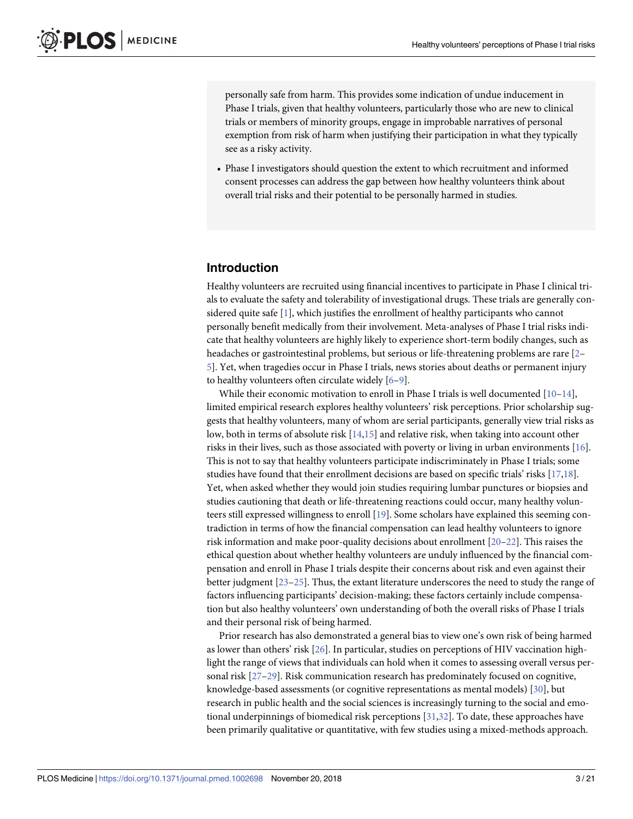<span id="page-2-0"></span>personally safe from harm. This provides some indication of undue inducement in Phase I trials, given that healthy volunteers, particularly those who are new to clinical trials or members of minority groups, engage in improbable narratives of personal exemption from risk of harm when justifying their participation in what they typically see as a risky activity.

• Phase I investigators should question the extent to which recruitment and informed consent processes can address the gap between how healthy volunteers think about overall trial risks and their potential to be personally harmed in studies.

### **Introduction**

Healthy volunteers are recruited using financial incentives to participate in Phase I clinical trials to evaluate the safety and tolerability of investigational drugs. These trials are generally considered quite safe [\[1](#page-18-0)], which justifies the enrollment of healthy participants who cannot personally benefit medically from their involvement. Meta-analyses of Phase I trial risks indicate that healthy volunteers are highly likely to experience short-term bodily changes, such as headaches or gastrointestinal problems, but serious or life-threatening problems are rare [\[2–](#page-18-0) [5\]](#page-18-0). Yet, when tragedies occur in Phase I trials, news stories about deaths or permanent injury to healthy volunteers often circulate widely [\[6–9\]](#page-18-0).

While their economic motivation to enroll in Phase I trials is well documented  $[10-14]$  $[10-14]$  $[10-14]$  $[10-14]$ , limited empirical research explores healthy volunteers' risk perceptions. Prior scholarship suggests that healthy volunteers, many of whom are serial participants, generally view trial risks as low, both in terms of absolute risk [[14,15\]](#page-19-0) and relative risk, when taking into account other risks in their lives, such as those associated with poverty or living in urban environments [[16](#page-19-0)]. This is not to say that healthy volunteers participate indiscriminately in Phase I trials; some studies have found that their enrollment decisions are based on specific trials' risks [\[17,18\]](#page-19-0). Yet, when asked whether they would join studies requiring lumbar punctures or biopsies and studies cautioning that death or life-threatening reactions could occur, many healthy volunteers still expressed willingness to enroll [[19](#page-19-0)]. Some scholars have explained this seeming contradiction in terms of how the financial compensation can lead healthy volunteers to ignore risk information and make poor-quality decisions about enrollment [\[20–22](#page-19-0)]. This raises the ethical question about whether healthy volunteers are unduly influenced by the financial compensation and enroll in Phase I trials despite their concerns about risk and even against their better judgment [[23–25\]](#page-19-0). Thus, the extant literature underscores the need to study the range of factors influencing participants' decision-making; these factors certainly include compensation but also healthy volunteers' own understanding of both the overall risks of Phase I trials and their personal risk of being harmed.

Prior research has also demonstrated a general bias to view one's own risk of being harmed as lower than others' risk [[26](#page-19-0)]. In particular, studies on perceptions of HIV vaccination highlight the range of views that individuals can hold when it comes to assessing overall versus personal risk [[27–29\]](#page-19-0). Risk communication research has predominately focused on cognitive, knowledge-based assessments (or cognitive representations as mental models) [[30](#page-19-0)], but research in public health and the social sciences is increasingly turning to the social and emotional underpinnings of biomedical risk perceptions [[31,32\]](#page-19-0). To date, these approaches have been primarily qualitative or quantitative, with few studies using a mixed-methods approach.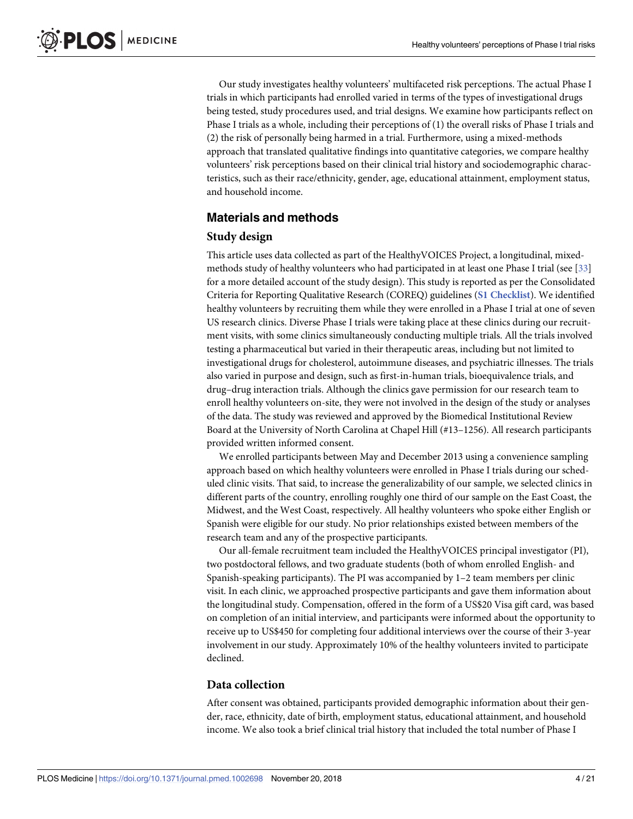<span id="page-3-0"></span>Our study investigates healthy volunteers' multifaceted risk perceptions. The actual Phase I trials in which participants had enrolled varied in terms of the types of investigational drugs being tested, study procedures used, and trial designs. We examine how participants reflect on Phase I trials as a whole, including their perceptions of (1) the overall risks of Phase I trials and (2) the risk of personally being harmed in a trial. Furthermore, using a mixed-methods approach that translated qualitative findings into quantitative categories, we compare healthy volunteers' risk perceptions based on their clinical trial history and sociodemographic characteristics, such as their race/ethnicity, gender, age, educational attainment, employment status, and household income.

# **Materials and methods**

# **Study design**

This article uses data collected as part of the HealthyVOICES Project, a longitudinal, mixedmethods study of healthy volunteers who had participated in at least one Phase I trial (see [[33\]](#page-19-0) for a more detailed account of the study design). This study is reported as per the Consolidated Criteria for Reporting Qualitative Research (COREQ) guidelines (**S1 [Checklist](#page-18-0)**). We identified healthy volunteers by recruiting them while they were enrolled in a Phase I trial at one of seven US research clinics. Diverse Phase I trials were taking place at these clinics during our recruitment visits, with some clinics simultaneously conducting multiple trials. All the trials involved testing a pharmaceutical but varied in their therapeutic areas, including but not limited to investigational drugs for cholesterol, autoimmune diseases, and psychiatric illnesses. The trials also varied in purpose and design, such as first-in-human trials, bioequivalence trials, and drug–drug interaction trials. Although the clinics gave permission for our research team to enroll healthy volunteers on-site, they were not involved in the design of the study or analyses of the data. The study was reviewed and approved by the Biomedical Institutional Review Board at the University of North Carolina at Chapel Hill (#13–1256). All research participants provided written informed consent.

We enrolled participants between May and December 2013 using a convenience sampling approach based on which healthy volunteers were enrolled in Phase I trials during our scheduled clinic visits. That said, to increase the generalizability of our sample, we selected clinics in different parts of the country, enrolling roughly one third of our sample on the East Coast, the Midwest, and the West Coast, respectively. All healthy volunteers who spoke either English or Spanish were eligible for our study. No prior relationships existed between members of the research team and any of the prospective participants.

Our all-female recruitment team included the HealthyVOICES principal investigator (PI), two postdoctoral fellows, and two graduate students (both of whom enrolled English- and Spanish-speaking participants). The PI was accompanied by 1–2 team members per clinic visit. In each clinic, we approached prospective participants and gave them information about the longitudinal study. Compensation, offered in the form of a US\$20 Visa gift card, was based on completion of an initial interview, and participants were informed about the opportunity to receive up to US\$450 for completing four additional interviews over the course of their 3-year involvement in our study. Approximately 10% of the healthy volunteers invited to participate declined.

# **Data collection**

After consent was obtained, participants provided demographic information about their gender, race, ethnicity, date of birth, employment status, educational attainment, and household income. We also took a brief clinical trial history that included the total number of Phase I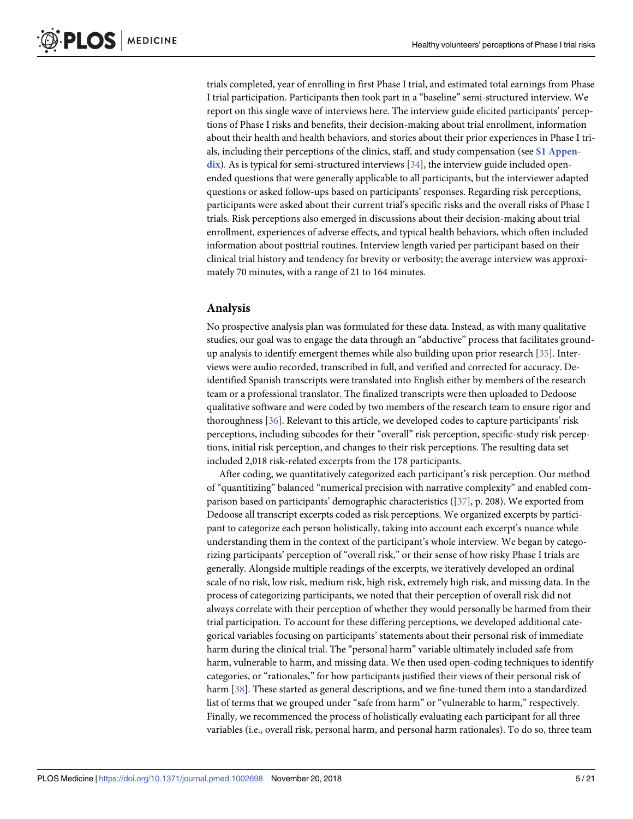<span id="page-4-0"></span>trials completed, year of enrolling in first Phase I trial, and estimated total earnings from Phase I trial participation. Participants then took part in a "baseline" semi-structured interview. We report on this single wave of interviews here. The interview guide elicited participants' perceptions of Phase I risks and benefits, their decision-making about trial enrollment, information about their health and health behaviors, and stories about their prior experiences in Phase I trials, including their perceptions of the clinics, staff, and study compensation (see **S1 [Appen](#page-18-0)**[dix](#page-18-0)). As is typical for semi-structured interviews [[34](#page-19-0)], the interview guide included openended questions that were generally applicable to all participants, but the interviewer adapted questions or asked follow-ups based on participants' responses. Regarding risk perceptions, participants were asked about their current trial's specific risks and the overall risks of Phase I trials. Risk perceptions also emerged in discussions about their decision-making about trial enrollment, experiences of adverse effects, and typical health behaviors, which often included information about posttrial routines. Interview length varied per participant based on their clinical trial history and tendency for brevity or verbosity; the average interview was approximately 70 minutes, with a range of 21 to 164 minutes.

#### **Analysis**

No prospective analysis plan was formulated for these data. Instead, as with many qualitative studies, our goal was to engage the data through an "abductive" process that facilitates groundup analysis to identify emergent themes while also building upon prior research [[35](#page-20-0)]. Interviews were audio recorded, transcribed in full, and verified and corrected for accuracy. Deidentified Spanish transcripts were translated into English either by members of the research team or a professional translator. The finalized transcripts were then uploaded to Dedoose qualitative software and were coded by two members of the research team to ensure rigor and thoroughness [[36](#page-20-0)]. Relevant to this article, we developed codes to capture participants' risk perceptions, including subcodes for their "overall" risk perception, specific-study risk perceptions, initial risk perception, and changes to their risk perceptions. The resulting data set included 2,018 risk-related excerpts from the 178 participants.

After coding, we quantitatively categorized each participant's risk perception. Our method of "quantitizing" balanced "numerical precision with narrative complexity" and enabled comparison based on participants' demographic characteristics ([\[37\]](#page-20-0), p. 208). We exported from Dedoose all transcript excerpts coded as risk perceptions. We organized excerpts by participant to categorize each person holistically, taking into account each excerpt's nuance while understanding them in the context of the participant's whole interview. We began by categorizing participants' perception of "overall risk," or their sense of how risky Phase I trials are generally. Alongside multiple readings of the excerpts, we iteratively developed an ordinal scale of no risk, low risk, medium risk, high risk, extremely high risk, and missing data. In the process of categorizing participants, we noted that their perception of overall risk did not always correlate with their perception of whether they would personally be harmed from their trial participation. To account for these differing perceptions, we developed additional categorical variables focusing on participants' statements about their personal risk of immediate harm during the clinical trial. The "personal harm" variable ultimately included safe from harm, vulnerable to harm, and missing data. We then used open-coding techniques to identify categories, or "rationales," for how participants justified their views of their personal risk of harm [\[38\]](#page-20-0). These started as general descriptions, and we fine-tuned them into a standardized list of terms that we grouped under "safe from harm" or "vulnerable to harm," respectively. Finally, we recommenced the process of holistically evaluating each participant for all three variables (i.e., overall risk, personal harm, and personal harm rationales). To do so, three team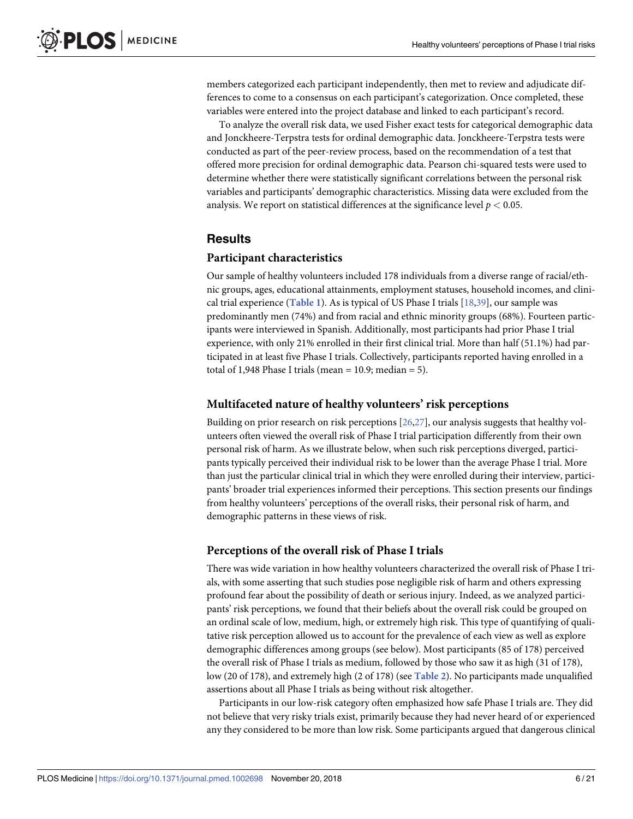<span id="page-5-0"></span>members categorized each participant independently, then met to review and adjudicate differences to come to a consensus on each participant's categorization. Once completed, these variables were entered into the project database and linked to each participant's record.

To analyze the overall risk data, we used Fisher exact tests for categorical demographic data and Jonckheere-Terpstra tests for ordinal demographic data. Jonckheere-Terpstra tests were conducted as part of the peer-review process, based on the recommendation of a test that offered more precision for ordinal demographic data. Pearson chi-squared tests were used to determine whether there were statistically significant correlations between the personal risk variables and participants' demographic characteristics. Missing data were excluded from the analysis. We report on statistical differences at the significance level  $p < 0.05$ .

# **Results**

### **Participant characteristics**

Our sample of healthy volunteers included 178 individuals from a diverse range of racial/ethnic groups, ages, educational attainments, employment statuses, household incomes, and clinical trial experience (**[Table](#page-6-0) 1**). As is typical of US Phase I trials [\[18,](#page-19-0)[39](#page-20-0)], our sample was predominantly men (74%) and from racial and ethnic minority groups (68%). Fourteen participants were interviewed in Spanish. Additionally, most participants had prior Phase I trial experience, with only 21% enrolled in their first clinical trial. More than half (51.1%) had participated in at least five Phase I trials. Collectively, participants reported having enrolled in a total of 1,948 Phase I trials (mean =  $10.9$ ; median =  $5$ ).

# **Multifaceted nature of healthy volunteers' risk perceptions**

Building on prior research on risk perceptions [\[26,27\]](#page-19-0), our analysis suggests that healthy volunteers often viewed the overall risk of Phase I trial participation differently from their own personal risk of harm. As we illustrate below, when such risk perceptions diverged, participants typically perceived their individual risk to be lower than the average Phase I trial. More than just the particular clinical trial in which they were enrolled during their interview, participants' broader trial experiences informed their perceptions. This section presents our findings from healthy volunteers' perceptions of the overall risks, their personal risk of harm, and demographic patterns in these views of risk.

# **Perceptions of the overall risk of Phase I trials**

There was wide variation in how healthy volunteers characterized the overall risk of Phase I trials, with some asserting that such studies pose negligible risk of harm and others expressing profound fear about the possibility of death or serious injury. Indeed, as we analyzed participants' risk perceptions, we found that their beliefs about the overall risk could be grouped on an ordinal scale of low, medium, high, or extremely high risk. This type of quantifying of qualitative risk perception allowed us to account for the prevalence of each view as well as explore demographic differences among groups (see below). Most participants (85 of 178) perceived the overall risk of Phase I trials as medium, followed by those who saw it as high (31 of 178), low (20 of 178), and extremely high (2 of 178) (see **[Table](#page-7-0) 2**). No participants made unqualified assertions about all Phase I trials as being without risk altogether.

Participants in our low-risk category often emphasized how safe Phase I trials are. They did not believe that very risky trials exist, primarily because they had never heard of or experienced any they considered to be more than low risk. Some participants argued that dangerous clinical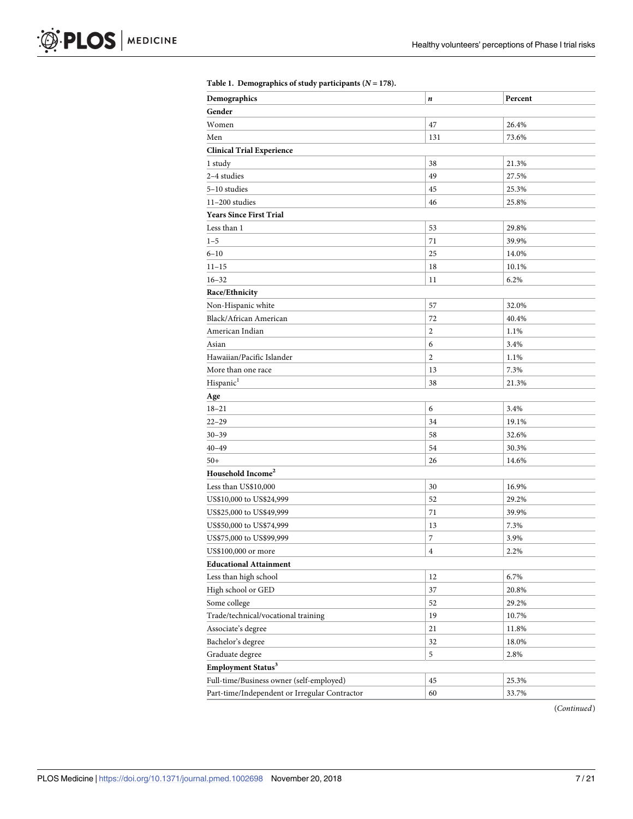<span id="page-6-0"></span>

| Demographics                                  | $\pmb{n}$      | Percent |
|-----------------------------------------------|----------------|---------|
| Gender                                        |                |         |
| Women                                         | 47             | 26.4%   |
| Men                                           | 131            | 73.6%   |
| <b>Clinical Trial Experience</b>              |                |         |
| 1 study                                       | 38             | 21.3%   |
| 2-4 studies                                   | 49             | 27.5%   |
| 5-10 studies                                  | 45             | 25.3%   |
| 11-200 studies                                | 46             | 25.8%   |
| <b>Years Since First Trial</b>                |                |         |
| Less than 1                                   | 53             | 29.8%   |
| $1 - 5$                                       | 71             | 39.9%   |
| $6 - 10$                                      | 25             | 14.0%   |
| $11 - 15$                                     | 18             | 10.1%   |
| $16 - 32$                                     | 11             | 6.2%    |
| Race/Ethnicity                                |                |         |
| Non-Hispanic white                            | 57             | 32.0%   |
| Black/African American                        | 72             | 40.4%   |
| American Indian                               | $\overline{2}$ | 1.1%    |
| Asian                                         | 6              | 3.4%    |
| Hawaiian/Pacific Islander                     | $\overline{c}$ | 1.1%    |
| More than one race                            | 13             | 7.3%    |
| Hispanic <sup>1</sup>                         | 38             | 21.3%   |
| Age                                           |                |         |
| $18 - 21$                                     | 6              | 3.4%    |
| $22 - 29$                                     | 34             | 19.1%   |
| $30 - 39$                                     | 58             | 32.6%   |
| $40 - 49$                                     | 54             | 30.3%   |
| $50+$                                         | 26             | 14.6%   |
| Household Income <sup>2</sup>                 |                |         |
| Less than US\$10,000                          | 30             | 16.9%   |
| US\$10,000 to US\$24,999                      | 52             | 29.2%   |
| US\$25,000 to US\$49,999                      | 71             | 39.9%   |
| US\$50,000 to US\$74,999                      | 13             | 7.3%    |
| US\$75,000 to US\$99,999                      | 7              | 3.9%    |
| US\$100,000 or more                           | $\bf{4}$       | 2.2%    |
| <b>Educational Attainment</b>                 |                |         |
| Less than high school                         | 12             | 6.7%    |
| High school or GED                            | 37             | 20.8%   |
| Some college                                  | 52             | 29.2%   |
| Trade/technical/vocational training           | 19             | 10.7%   |
| Associate's degree                            | 21             | 11.8%   |
| Bachelor's degree                             | 32             | 18.0%   |
| Graduate degree                               | $\sqrt{5}$     | 2.8%    |
| Employment Status <sup>3</sup>                |                |         |
| Full-time/Business owner (self-employed)      | 45             | 25.3%   |
|                                               |                |         |
| Part-time/Independent or Irregular Contractor | 60             | 33.7%   |

(*Continued*)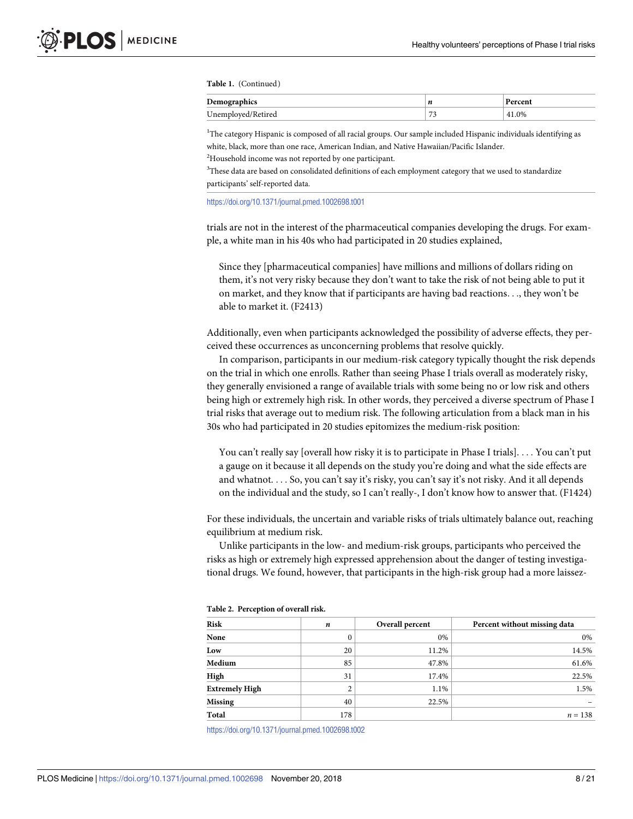<span id="page-7-0"></span>**Table 1.** (Continued)

| $\sim$<br>Demograp                             | n      | ®rcen⊾ |
|------------------------------------------------|--------|--------|
| $^{\mathrm{T}}$ Inamni<br>. Ketirea<br>Unempio | $\sim$ | 41.0%  |

<sup>1</sup>The category Hispanic is composed of all racial groups. Our sample included Hispanic individuals identifying as white, black, more than one race, American Indian, and Native Hawaiian/Pacific Islander.

<sup>2</sup>Household income was not reported by one participant.

<sup>3</sup>These data are based on consolidated definitions of each employment category that we used to standardize participants' self-reported data.

<https://doi.org/10.1371/journal.pmed.1002698.t001>

trials are not in the interest of the pharmaceutical companies developing the drugs. For example, a white man in his 40s who had participated in 20 studies explained,

Since they [pharmaceutical companies] have millions and millions of dollars riding on them, it's not very risky because they don't want to take the risk of not being able to put it on market, and they know that if participants are having bad reactions. . ., they won't be able to market it. (F2413)

Additionally, even when participants acknowledged the possibility of adverse effects, they perceived these occurrences as unconcerning problems that resolve quickly.

In comparison, participants in our medium-risk category typically thought the risk depends on the trial in which one enrolls. Rather than seeing Phase I trials overall as moderately risky, they generally envisioned a range of available trials with some being no or low risk and others being high or extremely high risk. In other words, they perceived a diverse spectrum of Phase I trial risks that average out to medium risk. The following articulation from a black man in his 30s who had participated in 20 studies epitomizes the medium-risk position:

You can't really say [overall how risky it is to participate in Phase I trials]. . . . You can't put a gauge on it because it all depends on the study you're doing and what the side effects are and whatnot. . . . So, you can't say it's risky, you can't say it's not risky. And it all depends on the individual and the study, so I can't really-, I don't know how to answer that. (F1424)

For these individuals, the uncertain and variable risks of trials ultimately balance out, reaching equilibrium at medium risk.

Unlike participants in the low- and medium-risk groups, participants who perceived the risks as high or extremely high expressed apprehension about the danger of testing investigational drugs. We found, however, that participants in the high-risk group had a more laissez-

| Risk                  | n   | Overall percent | Percent without missing data |
|-----------------------|-----|-----------------|------------------------------|
| None                  | 0   | 0%              | 0%                           |
| Low                   | 20  | 11.2%           | 14.5%                        |
| Medium                | 85  | 47.8%           | 61.6%                        |
| High                  | 31  | 17.4%           | 22.5%                        |
| <b>Extremely High</b> | ◠   | 1.1%            | 1.5%                         |
| <b>Missing</b>        | 40  | 22.5%           |                              |
| Total                 | 178 |                 | $n = 138$                    |

| Table 2. Perception of overall risk. |  |  |  |  |
|--------------------------------------|--|--|--|--|
|--------------------------------------|--|--|--|--|

<https://doi.org/10.1371/journal.pmed.1002698.t002>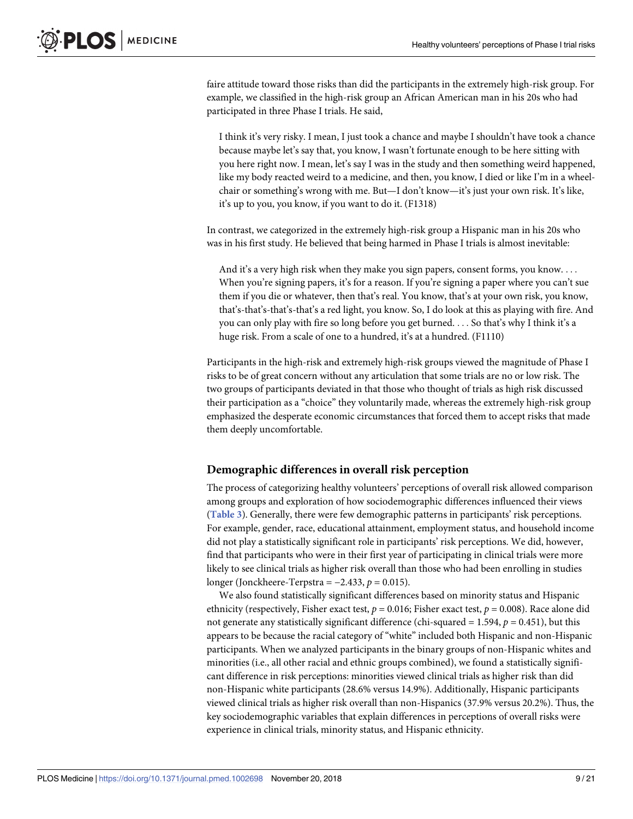<span id="page-8-0"></span>faire attitude toward those risks than did the participants in the extremely high-risk group. For example, we classified in the high-risk group an African American man in his 20s who had participated in three Phase I trials. He said,

I think it's very risky. I mean, I just took a chance and maybe I shouldn't have took a chance because maybe let's say that, you know, I wasn't fortunate enough to be here sitting with you here right now. I mean, let's say I was in the study and then something weird happened, like my body reacted weird to a medicine, and then, you know, I died or like I'm in a wheelchair or something's wrong with me. But—I don't know—it's just your own risk. It's like, it's up to you, you know, if you want to do it. (F1318)

In contrast, we categorized in the extremely high-risk group a Hispanic man in his 20s who was in his first study. He believed that being harmed in Phase I trials is almost inevitable:

And it's a very high risk when they make you sign papers, consent forms, you know. . . . When you're signing papers, it's for a reason. If you're signing a paper where you can't sue them if you die or whatever, then that's real. You know, that's at your own risk, you know, that's-that's-that's-that's a red light, you know. So, I do look at this as playing with fire. And you can only play with fire so long before you get burned. . . . So that's why I think it's a huge risk. From a scale of one to a hundred, it's at a hundred. (F1110)

Participants in the high-risk and extremely high-risk groups viewed the magnitude of Phase I risks to be of great concern without any articulation that some trials are no or low risk. The two groups of participants deviated in that those who thought of trials as high risk discussed their participation as a "choice" they voluntarily made, whereas the extremely high-risk group emphasized the desperate economic circumstances that forced them to accept risks that made them deeply uncomfortable.

#### **Demographic differences in overall risk perception**

The process of categorizing healthy volunteers' perceptions of overall risk allowed comparison among groups and exploration of how sociodemographic differences influenced their views (**[Table](#page-9-0) 3**). Generally, there were few demographic patterns in participants' risk perceptions. For example, gender, race, educational attainment, employment status, and household income did not play a statistically significant role in participants' risk perceptions. We did, however, find that participants who were in their first year of participating in clinical trials were more likely to see clinical trials as higher risk overall than those who had been enrolling in studies longer (Jonckheere-Terpstra = −2.433, *p* = 0.015).

We also found statistically significant differences based on minority status and Hispanic ethnicity (respectively, Fisher exact test, *p* = 0.016; Fisher exact test, *p* = 0.008). Race alone did not generate any statistically significant difference (chi-squared  $= 1.594$ ,  $p = 0.451$ ), but this appears to be because the racial category of "white" included both Hispanic and non-Hispanic participants. When we analyzed participants in the binary groups of non-Hispanic whites and minorities (i.e., all other racial and ethnic groups combined), we found a statistically significant difference in risk perceptions: minorities viewed clinical trials as higher risk than did non-Hispanic white participants (28.6% versus 14.9%). Additionally, Hispanic participants viewed clinical trials as higher risk overall than non-Hispanics (37.9% versus 20.2%). Thus, the key sociodemographic variables that explain differences in perceptions of overall risks were experience in clinical trials, minority status, and Hispanic ethnicity.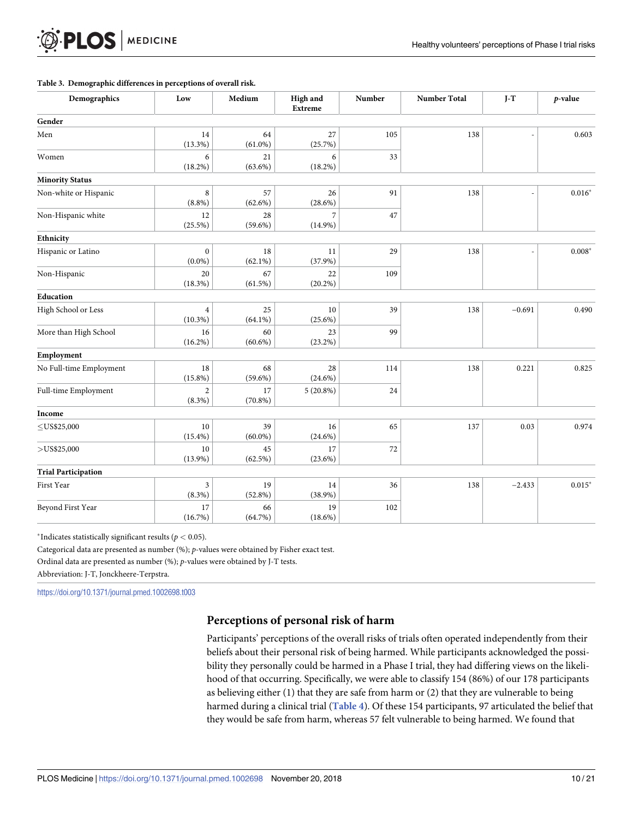#### **[Table](#page-8-0) 3. Demographic differences in perceptions of overall risk.**

**MEDICINE** 

<span id="page-9-0"></span>**PLOS** 

| Demographics               | Low                          | Medium           | High and<br><b>Extreme</b> | Number | <b>Number Total</b> | $J-T$    | $p$ -value |       |
|----------------------------|------------------------------|------------------|----------------------------|--------|---------------------|----------|------------|-------|
| Gender                     |                              |                  |                            |        |                     |          |            |       |
| Men                        | 14<br>$(13.3\%)$             | 64<br>$(61.0\%)$ | 27<br>(25.7%)              | 105    | 138                 |          |            | 0.603 |
| Women                      | 6<br>$(18.2\%)$              | 21<br>$(63.6\%)$ | 6<br>$(18.2\%)$            | 33     |                     |          |            |       |
| <b>Minority Status</b>     |                              |                  |                            |        |                     |          |            |       |
| Non-white or Hispanic      | 8<br>$(8.8\%)$               | 57<br>$(62.6\%)$ | 26<br>$(28.6\%)$           | 91     | 138                 |          | $0.016*$   |       |
| Non-Hispanic white         | 12<br>(25.5%)                | 28<br>$(59.6\%)$ | 7<br>$(14.9\%)$            | 47     |                     |          |            |       |
| Ethnicity                  |                              |                  |                            |        |                     |          |            |       |
| Hispanic or Latino         | $\mathbf{0}$<br>$(0.0\%)$    | 18<br>$(62.1\%)$ | 11<br>$(37.9\%)$           | 29     | 138                 |          | $0.008*$   |       |
| Non-Hispanic               | 20<br>(18.3%)                | 67<br>(61.5%)    | 22<br>$(20.2\%)$           | 109    |                     |          |            |       |
| Education                  |                              |                  |                            |        |                     |          |            |       |
| High School or Less        | $\overline{4}$<br>$(10.3\%)$ | 25<br>$(64.1\%)$ | 10<br>$(25.6\%)$           | 39     | 138                 | $-0.691$ | 0.490      |       |
| More than High School      | 16<br>$(16.2\%)$             | 60<br>$(60.6\%)$ | 23<br>$(23.2\%)$           | 99     |                     |          |            |       |
| Employment                 |                              |                  |                            |        |                     |          |            |       |
| No Full-time Employment    | $18\,$<br>$(15.8\%)$         | 68<br>$(59.6\%)$ | $28\,$<br>$(24.6\%)$       | 114    | 138                 | 0.221    | 0.825      |       |
| Full-time Employment       | $\overline{2}$<br>$(8.3\%)$  | 17<br>$(70.8\%)$ | $5(20.8\%)$                | 24     |                     |          |            |       |
| Income                     |                              |                  |                            |        |                     |          |            |       |
| $\leq$ US\$25,000          | $10\,$<br>$(15.4\%)$         | 39<br>$(60.0\%)$ | $16\,$<br>$(24.6\%)$       | 65     | 137                 | 0.03     | 0.974      |       |
| $>$ US\$25,000             | $10\,$<br>$(13.9\%)$         | 45<br>$(62.5\%)$ | 17<br>$(23.6\%)$           | 72     |                     |          |            |       |
| <b>Trial Participation</b> |                              |                  |                            |        |                     |          |            |       |
| First Year                 | 3<br>$(8.3\%)$               | 19<br>$(52.8\%)$ | $14\,$<br>$(38.9\%)$       | 36     | 138                 | $-2.433$ | $0.015*$   |       |
| Beyond First Year          | 17<br>(16.7%)                | 66<br>(64.7%)    | 19<br>$(18.6\%)$           | 102    |                     |          |            |       |

*\**Indicates statistically significant results ( $p < 0.05$ ).

Categorical data are presented as number (%); *p*-values were obtained by Fisher exact test.

Ordinal data are presented as number (%); *p*-values were obtained by J-T tests.

Abbreviation: J-T, Jonckheere-Terpstra.

<https://doi.org/10.1371/journal.pmed.1002698.t003>

# **Perceptions of personal risk of harm**

Participants' perceptions of the overall risks of trials often operated independently from their beliefs about their personal risk of being harmed. While participants acknowledged the possibility they personally could be harmed in a Phase I trial, they had differing views on the likelihood of that occurring. Specifically, we were able to classify 154 (86%) of our 178 participants as believing either (1) that they are safe from harm or (2) that they are vulnerable to being harmed during a clinical trial (**[Table](#page-10-0) 4**). Of these 154 participants, 97 articulated the belief that they would be safe from harm, whereas 57 felt vulnerable to being harmed. We found that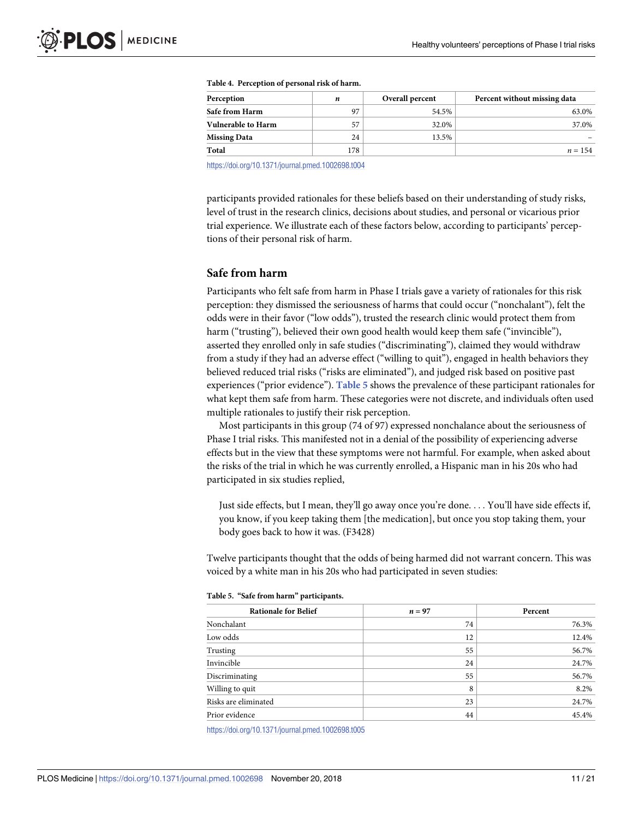<span id="page-10-0"></span>

| Perception                | n   | Overall percent | Percent without missing data |
|---------------------------|-----|-----------------|------------------------------|
| Safe from Harm            | 97  | 54.5%           | 63.0%                        |
| <b>Vulnerable to Harm</b> | 57  | 32.0%           | 37.0%                        |
| <b>Missing Data</b>       | 24  | 13.5%           |                              |
| Total                     | 178 |                 | $n = 154$                    |

| Table 4. Perception of personal risk of harm. |  |
|-----------------------------------------------|--|
|-----------------------------------------------|--|

<https://doi.org/10.1371/journal.pmed.1002698.t004>

participants provided rationales for these beliefs based on their understanding of study risks, level of trust in the research clinics, decisions about studies, and personal or vicarious prior trial experience. We illustrate each of these factors below, according to participants' perceptions of their personal risk of harm.

# **Safe from harm**

Participants who felt safe from harm in Phase I trials gave a variety of rationales for this risk perception: they dismissed the seriousness of harms that could occur ("nonchalant"), felt the odds were in their favor ("low odds"), trusted the research clinic would protect them from harm ("trusting"), believed their own good health would keep them safe ("invincible"), asserted they enrolled only in safe studies ("discriminating"), claimed they would withdraw from a study if they had an adverse effect ("willing to quit"), engaged in health behaviors they believed reduced trial risks ("risks are eliminated"), and judged risk based on positive past experiences ("prior evidence"). **Table 5** shows the prevalence of these participant rationales for what kept them safe from harm. These categories were not discrete, and individuals often used multiple rationales to justify their risk perception.

Most participants in this group (74 of 97) expressed nonchalance about the seriousness of Phase I trial risks. This manifested not in a denial of the possibility of experiencing adverse effects but in the view that these symptoms were not harmful. For example, when asked about the risks of the trial in which he was currently enrolled, a Hispanic man in his 20s who had participated in six studies replied,

Just side effects, but I mean, they'll go away once you're done. . . . You'll have side effects if, you know, if you keep taking them [the medication], but once you stop taking them, your body goes back to how it was. (F3428)

Twelve participants thought that the odds of being harmed did not warrant concern. This was voiced by a white man in his 20s who had participated in seven studies:

| <b>Rationale for Belief</b> | $n=97$ | Percent |
|-----------------------------|--------|---------|
| Nonchalant                  | 74     | 76.3%   |
| Low odds                    | 12     | 12.4%   |
| Trusting                    | 55     | 56.7%   |
| Invincible                  | 24     | 24.7%   |
| Discriminating              | 55     | 56.7%   |
| Willing to quit             | 8      | 8.2%    |
| Risks are eliminated        | 23     | 24.7%   |
| Prior evidence              | 44     | 45.4%   |

**Table 5. "Safe from harm" participants.**

<https://doi.org/10.1371/journal.pmed.1002698.t005>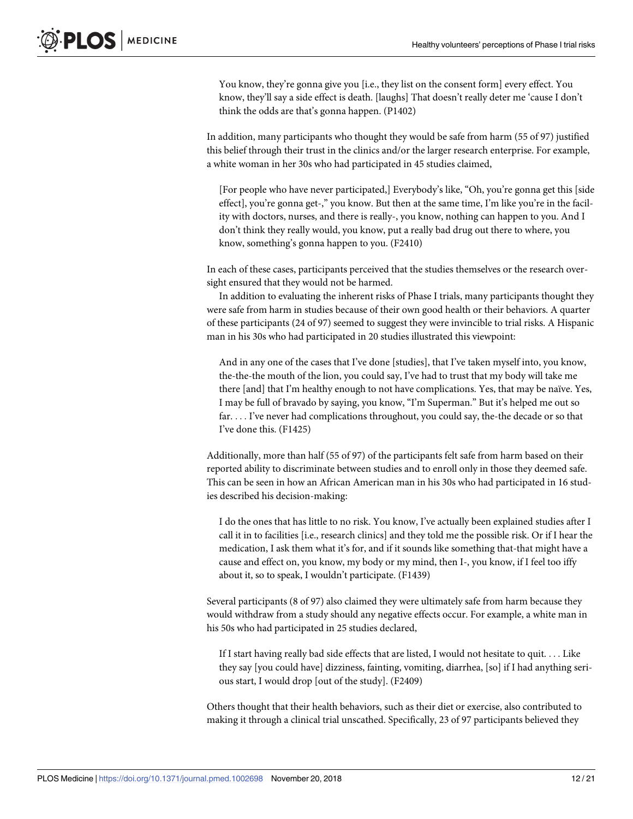You know, they're gonna give you [i.e., they list on the consent form] every effect. You know, they'll say a side effect is death. [laughs] That doesn't really deter me 'cause I don't think the odds are that's gonna happen. (P1402)

In addition, many participants who thought they would be safe from harm (55 of 97) justified this belief through their trust in the clinics and/or the larger research enterprise. For example, a white woman in her 30s who had participated in 45 studies claimed,

[For people who have never participated,] Everybody's like, "Oh, you're gonna get this [side effect], you're gonna get-," you know. But then at the same time, I'm like you're in the facility with doctors, nurses, and there is really-, you know, nothing can happen to you. And I don't think they really would, you know, put a really bad drug out there to where, you know, something's gonna happen to you. (F2410)

In each of these cases, participants perceived that the studies themselves or the research oversight ensured that they would not be harmed.

In addition to evaluating the inherent risks of Phase I trials, many participants thought they were safe from harm in studies because of their own good health or their behaviors. A quarter of these participants (24 of 97) seemed to suggest they were invincible to trial risks. A Hispanic man in his 30s who had participated in 20 studies illustrated this viewpoint:

And in any one of the cases that I've done [studies], that I've taken myself into, you know, the-the-the mouth of the lion, you could say, I've had to trust that my body will take me there [and] that I'm healthy enough to not have complications. Yes, that may be naïve. Yes, I may be full of bravado by saying, you know, "I'm Superman." But it's helped me out so far. . . . I've never had complications throughout, you could say, the-the decade or so that I've done this. (F1425)

Additionally, more than half (55 of 97) of the participants felt safe from harm based on their reported ability to discriminate between studies and to enroll only in those they deemed safe. This can be seen in how an African American man in his 30s who had participated in 16 studies described his decision-making:

I do the ones that has little to no risk. You know, I've actually been explained studies after I call it in to facilities [i.e., research clinics] and they told me the possible risk. Or if I hear the medication, I ask them what it's for, and if it sounds like something that-that might have a cause and effect on, you know, my body or my mind, then I-, you know, if I feel too iffy about it, so to speak, I wouldn't participate. (F1439)

Several participants (8 of 97) also claimed they were ultimately safe from harm because they would withdraw from a study should any negative effects occur. For example, a white man in his 50s who had participated in 25 studies declared,

If I start having really bad side effects that are listed, I would not hesitate to quit. . . . Like they say [you could have] dizziness, fainting, vomiting, diarrhea, [so] if I had anything serious start, I would drop [out of the study]. (F2409)

Others thought that their health behaviors, such as their diet or exercise, also contributed to making it through a clinical trial unscathed. Specifically, 23 of 97 participants believed they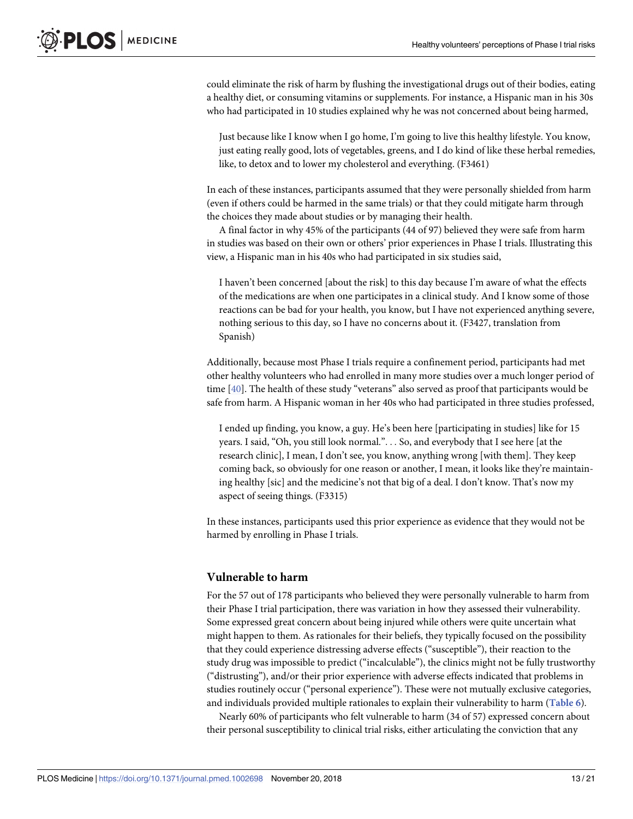<span id="page-12-0"></span>could eliminate the risk of harm by flushing the investigational drugs out of their bodies, eating a healthy diet, or consuming vitamins or supplements. For instance, a Hispanic man in his 30s who had participated in 10 studies explained why he was not concerned about being harmed,

Just because like I know when I go home, I'm going to live this healthy lifestyle. You know, just eating really good, lots of vegetables, greens, and I do kind of like these herbal remedies, like, to detox and to lower my cholesterol and everything. (F3461)

In each of these instances, participants assumed that they were personally shielded from harm (even if others could be harmed in the same trials) or that they could mitigate harm through the choices they made about studies or by managing their health.

A final factor in why 45% of the participants (44 of 97) believed they were safe from harm in studies was based on their own or others' prior experiences in Phase I trials. Illustrating this view, a Hispanic man in his 40s who had participated in six studies said,

I haven't been concerned [about the risk] to this day because I'm aware of what the effects of the medications are when one participates in a clinical study. And I know some of those reactions can be bad for your health, you know, but I have not experienced anything severe, nothing serious to this day, so I have no concerns about it. (F3427, translation from Spanish)

Additionally, because most Phase I trials require a confinement period, participants had met other healthy volunteers who had enrolled in many more studies over a much longer period of time [[40](#page-20-0)]. The health of these study "veterans" also served as proof that participants would be safe from harm. A Hispanic woman in her 40s who had participated in three studies professed,

I ended up finding, you know, a guy. He's been here [participating in studies] like for 15 years. I said, "Oh, you still look normal.". . . So, and everybody that I see here [at the research clinic], I mean, I don't see, you know, anything wrong [with them]. They keep coming back, so obviously for one reason or another, I mean, it looks like they're maintaining healthy [sic] and the medicine's not that big of a deal. I don't know. That's now my aspect of seeing things. (F3315)

In these instances, participants used this prior experience as evidence that they would not be harmed by enrolling in Phase I trials.

# **Vulnerable to harm**

For the 57 out of 178 participants who believed they were personally vulnerable to harm from their Phase I trial participation, there was variation in how they assessed their vulnerability. Some expressed great concern about being injured while others were quite uncertain what might happen to them. As rationales for their beliefs, they typically focused on the possibility that they could experience distressing adverse effects ("susceptible"), their reaction to the study drug was impossible to predict ("incalculable"), the clinics might not be fully trustworthy ("distrusting"), and/or their prior experience with adverse effects indicated that problems in studies routinely occur ("personal experience"). These were not mutually exclusive categories, and individuals provided multiple rationales to explain their vulnerability to harm (**[Table](#page-13-0) 6**).

Nearly 60% of participants who felt vulnerable to harm (34 of 57) expressed concern about their personal susceptibility to clinical trial risks, either articulating the conviction that any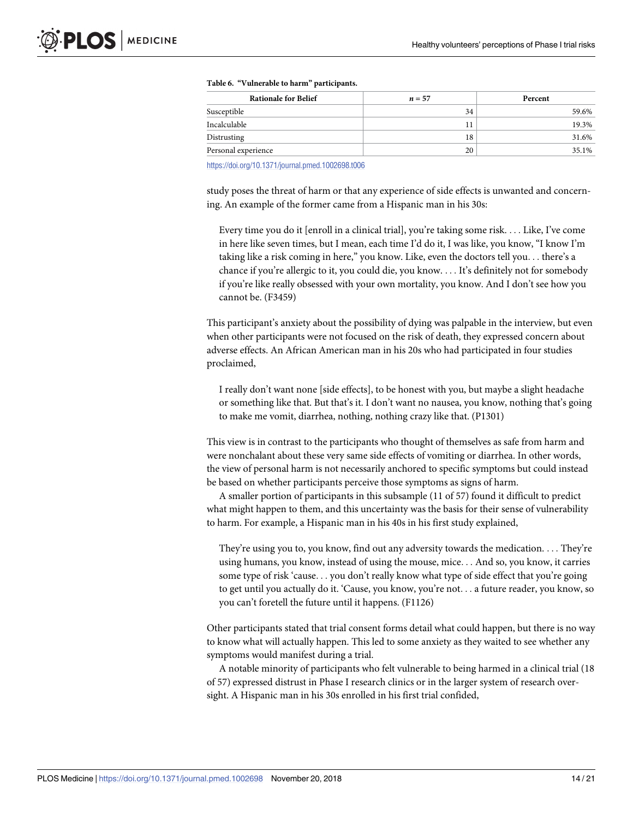| <b>Rationale for Belief</b> | $n=57$ | Percent |
|-----------------------------|--------|---------|
| Susceptible                 | 34     | 59.6%   |
| Incalculable                |        | 19.3%   |
| Distrusting                 | 18     | 31.6%   |
| Personal experience         | 20     | 35.1%   |

#### <span id="page-13-0"></span>**[Table](#page-12-0) 6. "Vulnerable to harm" participants.**

<https://doi.org/10.1371/journal.pmed.1002698.t006>

study poses the threat of harm or that any experience of side effects is unwanted and concerning. An example of the former came from a Hispanic man in his 30s:

Every time you do it [enroll in a clinical trial], you're taking some risk. . . . Like, I've come in here like seven times, but I mean, each time I'd do it, I was like, you know, "I know I'm taking like a risk coming in here," you know. Like, even the doctors tell you. . . there's a chance if you're allergic to it, you could die, you know. . . . It's definitely not for somebody if you're like really obsessed with your own mortality, you know. And I don't see how you cannot be. (F3459)

This participant's anxiety about the possibility of dying was palpable in the interview, but even when other participants were not focused on the risk of death, they expressed concern about adverse effects. An African American man in his 20s who had participated in four studies proclaimed,

I really don't want none [side effects], to be honest with you, but maybe a slight headache or something like that. But that's it. I don't want no nausea, you know, nothing that's going to make me vomit, diarrhea, nothing, nothing crazy like that. (P1301)

This view is in contrast to the participants who thought of themselves as safe from harm and were nonchalant about these very same side effects of vomiting or diarrhea. In other words, the view of personal harm is not necessarily anchored to specific symptoms but could instead be based on whether participants perceive those symptoms as signs of harm.

A smaller portion of participants in this subsample (11 of 57) found it difficult to predict what might happen to them, and this uncertainty was the basis for their sense of vulnerability to harm. For example, a Hispanic man in his 40s in his first study explained,

They're using you to, you know, find out any adversity towards the medication. . . . They're using humans, you know, instead of using the mouse, mice. . . And so, you know, it carries some type of risk 'cause. . . you don't really know what type of side effect that you're going to get until you actually do it. 'Cause, you know, you're not. . . a future reader, you know, so you can't foretell the future until it happens. (F1126)

Other participants stated that trial consent forms detail what could happen, but there is no way to know what will actually happen. This led to some anxiety as they waited to see whether any symptoms would manifest during a trial.

A notable minority of participants who felt vulnerable to being harmed in a clinical trial (18 of 57) expressed distrust in Phase I research clinics or in the larger system of research oversight. A Hispanic man in his 30s enrolled in his first trial confided,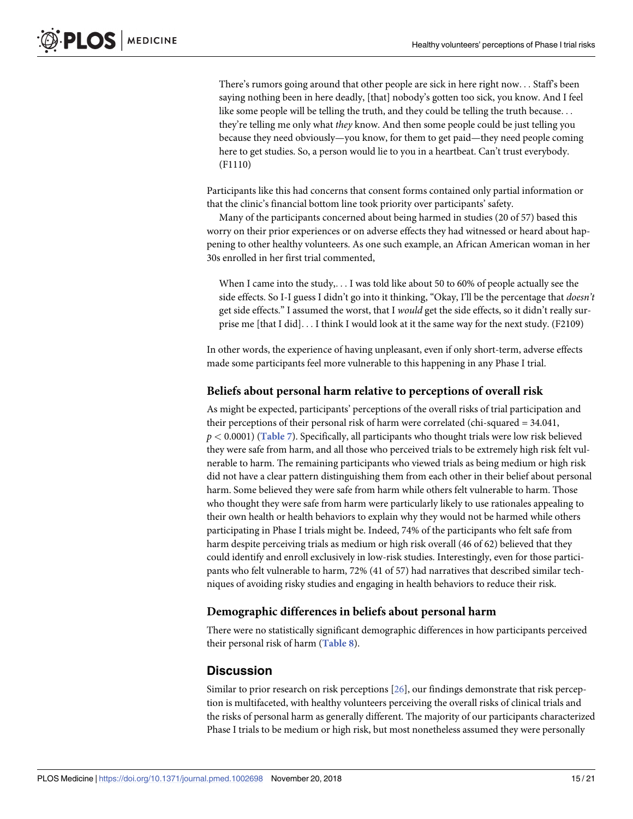<span id="page-14-0"></span>There's rumors going around that other people are sick in here right now. . . Staff's been saying nothing been in here deadly, [that] nobody's gotten too sick, you know. And I feel like some people will be telling the truth, and they could be telling the truth because. . . they're telling me only what *they* know. And then some people could be just telling you because they need obviously—you know, for them to get paid—they need people coming here to get studies. So, a person would lie to you in a heartbeat. Can't trust everybody. (F1110)

Participants like this had concerns that consent forms contained only partial information or that the clinic's financial bottom line took priority over participants' safety.

Many of the participants concerned about being harmed in studies (20 of 57) based this worry on their prior experiences or on adverse effects they had witnessed or heard about happening to other healthy volunteers. As one such example, an African American woman in her 30s enrolled in her first trial commented,

When I came into the study,. . . I was told like about 50 to 60% of people actually see the side effects. So I-I guess I didn't go into it thinking, "Okay, I'll be the percentage that *doesn't* get side effects." I assumed the worst, that I *would* get the side effects, so it didn't really surprise me [that I did]. . . I think I would look at it the same way for the next study. (F2109)

In other words, the experience of having unpleasant, even if only short-term, adverse effects made some participants feel more vulnerable to this happening in any Phase I trial.

#### **Beliefs about personal harm relative to perceptions of overall risk**

As might be expected, participants' perceptions of the overall risks of trial participation and their perceptions of their personal risk of harm were correlated (chi-squared = 34.041, *p <* 0.0001) (**[Table](#page-15-0) 7**). Specifically, all participants who thought trials were low risk believed they were safe from harm, and all those who perceived trials to be extremely high risk felt vulnerable to harm. The remaining participants who viewed trials as being medium or high risk did not have a clear pattern distinguishing them from each other in their belief about personal harm. Some believed they were safe from harm while others felt vulnerable to harm. Those who thought they were safe from harm were particularly likely to use rationales appealing to their own health or health behaviors to explain why they would not be harmed while others participating in Phase I trials might be. Indeed, 74% of the participants who felt safe from harm despite perceiving trials as medium or high risk overall (46 of 62) believed that they could identify and enroll exclusively in low-risk studies. Interestingly, even for those participants who felt vulnerable to harm, 72% (41 of 57) had narratives that described similar techniques of avoiding risky studies and engaging in health behaviors to reduce their risk.

#### **Demographic differences in beliefs about personal harm**

There were no statistically significant demographic differences in how participants perceived their personal risk of harm (**[Table](#page-16-0) 8**).

# **Discussion**

Similar to prior research on risk perceptions [\[26\]](#page-19-0), our findings demonstrate that risk perception is multifaceted, with healthy volunteers perceiving the overall risks of clinical trials and the risks of personal harm as generally different. The majority of our participants characterized Phase I trials to be medium or high risk, but most nonetheless assumed they were personally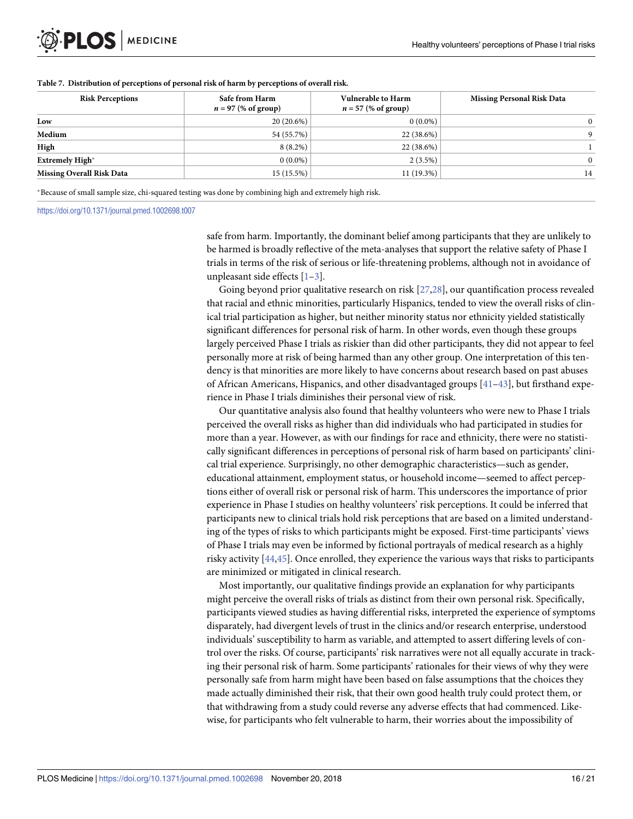| <b>Risk Perceptions</b>          | Safe from Harm<br>$n = 97$ (% of group) | <b>Vulnerable to Harm</b><br>$n = 57$ (% of group) | <b>Missing Personal Risk Data</b> |
|----------------------------------|-----------------------------------------|----------------------------------------------------|-----------------------------------|
| Low                              | $20(20.6\%)$                            | $0(0.0\%)$                                         | $\Omega$                          |
| Medium                           | 54 (55.7%)                              | $22(38.6\%)$                                       | $\mathbf Q$                       |
| High                             | $8(8.2\%)$                              | $22(38.6\%)$                                       |                                   |
| <b>Extremely High*</b>           | $0(0.0\%)$                              | $2(3.5\%)$                                         | $\Omega$                          |
| <b>Missing Overall Risk Data</b> | 15 (15.5%)                              | $11(19.3\%)$                                       | 14                                |

#### <span id="page-15-0"></span>**[Table](#page-14-0) 7. Distribution of perceptions of personal risk of harm by perceptions of overall risk.**

�Because of small sample size, chi-squared testing was done by combining high and extremely high risk.

<https://doi.org/10.1371/journal.pmed.1002698.t007>

safe from harm. Importantly, the dominant belief among participants that they are unlikely to be harmed is broadly reflective of the meta-analyses that support the relative safety of Phase I trials in terms of the risk of serious or life-threatening problems, although not in avoidance of unpleasant side effects [\[1–3\]](#page-18-0).

Going beyond prior qualitative research on risk [\[27,28\]](#page-19-0), our quantification process revealed that racial and ethnic minorities, particularly Hispanics, tended to view the overall risks of clinical trial participation as higher, but neither minority status nor ethnicity yielded statistically significant differences for personal risk of harm. In other words, even though these groups largely perceived Phase I trials as riskier than did other participants, they did not appear to feel personally more at risk of being harmed than any other group. One interpretation of this tendency is that minorities are more likely to have concerns about research based on past abuses of African Americans, Hispanics, and other disadvantaged groups [\[41–43\]](#page-20-0), but firsthand experience in Phase I trials diminishes their personal view of risk.

Our quantitative analysis also found that healthy volunteers who were new to Phase I trials perceived the overall risks as higher than did individuals who had participated in studies for more than a year. However, as with our findings for race and ethnicity, there were no statistically significant differences in perceptions of personal risk of harm based on participants' clinical trial experience. Surprisingly, no other demographic characteristics—such as gender, educational attainment, employment status, or household income—seemed to affect perceptions either of overall risk or personal risk of harm. This underscores the importance of prior experience in Phase I studies on healthy volunteers' risk perceptions. It could be inferred that participants new to clinical trials hold risk perceptions that are based on a limited understanding of the types of risks to which participants might be exposed. First-time participants' views of Phase I trials may even be informed by fictional portrayals of medical research as a highly risky activity [\[44,45\]](#page-20-0). Once enrolled, they experience the various ways that risks to participants are minimized or mitigated in clinical research.

Most importantly, our qualitative findings provide an explanation for why participants might perceive the overall risks of trials as distinct from their own personal risk. Specifically, participants viewed studies as having differential risks, interpreted the experience of symptoms disparately, had divergent levels of trust in the clinics and/or research enterprise, understood individuals' susceptibility to harm as variable, and attempted to assert differing levels of control over the risks. Of course, participants' risk narratives were not all equally accurate in tracking their personal risk of harm. Some participants' rationales for their views of why they were personally safe from harm might have been based on false assumptions that the choices they made actually diminished their risk, that their own good health truly could protect them, or that withdrawing from a study could reverse any adverse effects that had commenced. Likewise, for participants who felt vulnerable to harm, their worries about the impossibility of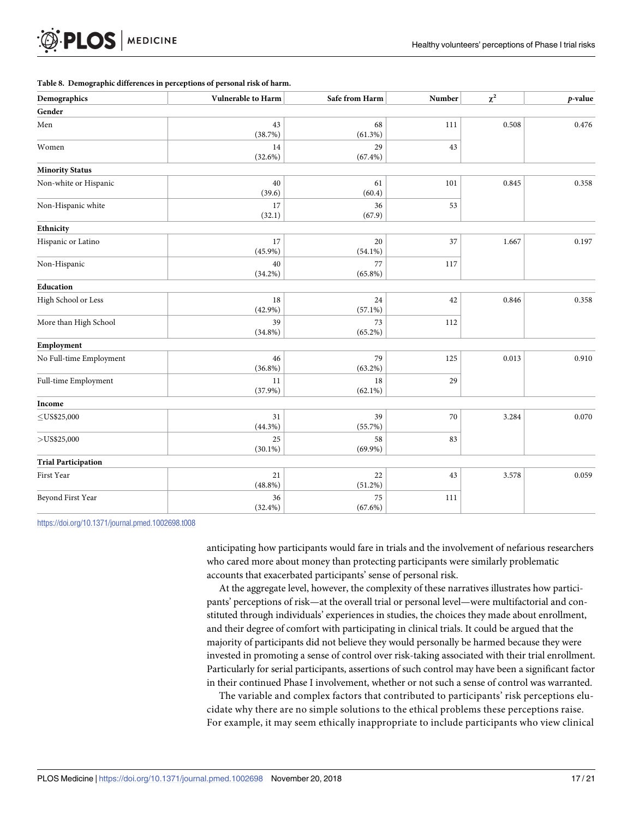#### <span id="page-16-0"></span>**[Table](#page-14-0) 8. Demographic differences in perceptions of personal risk of harm.**

| Demographics               | Vulnerable to Harm | Safe from Harm   | Number | $\chi^2$ | p-value |
|----------------------------|--------------------|------------------|--------|----------|---------|
| Gender                     |                    |                  |        |          |         |
| Men                        | 43<br>(38.7%)      | 68<br>$(61.3\%)$ | 111    | 0.508    | 0.476   |
| Women                      | 14<br>(32.6%)      | 29<br>$(67.4\%)$ | 43     |          |         |
| <b>Minority Status</b>     |                    |                  |        |          |         |
| Non-white or Hispanic      | 40<br>(39.6)       | 61<br>(60.4)     | 101    | 0.845    | 0.358   |
| Non-Hispanic white         | 17<br>(32.1)       | 36<br>(67.9)     | 53     |          |         |
| Ethnicity                  |                    |                  |        |          |         |
| Hispanic or Latino         | 17<br>$(45.9\%)$   | 20<br>$(54.1\%)$ | 37     | 1.667    | 0.197   |
| Non-Hispanic               | 40<br>$(34.2\%)$   | 77<br>$(65.8\%)$ | 117    |          |         |
| Education                  |                    |                  |        |          |         |
| High School or Less        | 18<br>$(42.9\%)$   | 24<br>$(57.1\%)$ | 42     | 0.846    | 0.358   |
| More than High School      | 39<br>$(34.8\%)$   | 73<br>$(65.2\%)$ | 112    |          |         |
| Employment                 |                    |                  |        |          |         |
| No Full-time Employment    | 46<br>$(36.8\%)$   | 79<br>$(63.2\%)$ | 125    | 0.013    | 0.910   |
| Full-time Employment       | 11<br>$(37.9\%)$   | 18<br>$(62.1\%)$ | 29     |          |         |
| Income                     |                    |                  |        |          |         |
| $\leq$ US\$25,000          | 31<br>$(44.3\%)$   | 39<br>(55.7%)    | 70     | 3.284    | 0.070   |
| $>$ US\$25,000             | 25<br>$(30.1\%)$   | 58<br>$(69.9\%)$ | 83     |          |         |
| <b>Trial Participation</b> |                    |                  |        |          |         |
| First Year                 | 21<br>$(48.8\%)$   | 22<br>$(51.2\%)$ | 43     | 3.578    | 0.059   |
| Beyond First Year          | 36<br>$(32.4\%)$   | 75<br>$(67.6\%)$ | 111    |          |         |

<https://doi.org/10.1371/journal.pmed.1002698.t008>

anticipating how participants would fare in trials and the involvement of nefarious researchers who cared more about money than protecting participants were similarly problematic accounts that exacerbated participants' sense of personal risk.

At the aggregate level, however, the complexity of these narratives illustrates how participants' perceptions of risk—at the overall trial or personal level—were multifactorial and constituted through individuals' experiences in studies, the choices they made about enrollment, and their degree of comfort with participating in clinical trials. It could be argued that the majority of participants did not believe they would personally be harmed because they were invested in promoting a sense of control over risk-taking associated with their trial enrollment. Particularly for serial participants, assertions of such control may have been a significant factor in their continued Phase I involvement, whether or not such a sense of control was warranted.

The variable and complex factors that contributed to participants' risk perceptions elucidate why there are no simple solutions to the ethical problems these perceptions raise. For example, it may seem ethically inappropriate to include participants who view clinical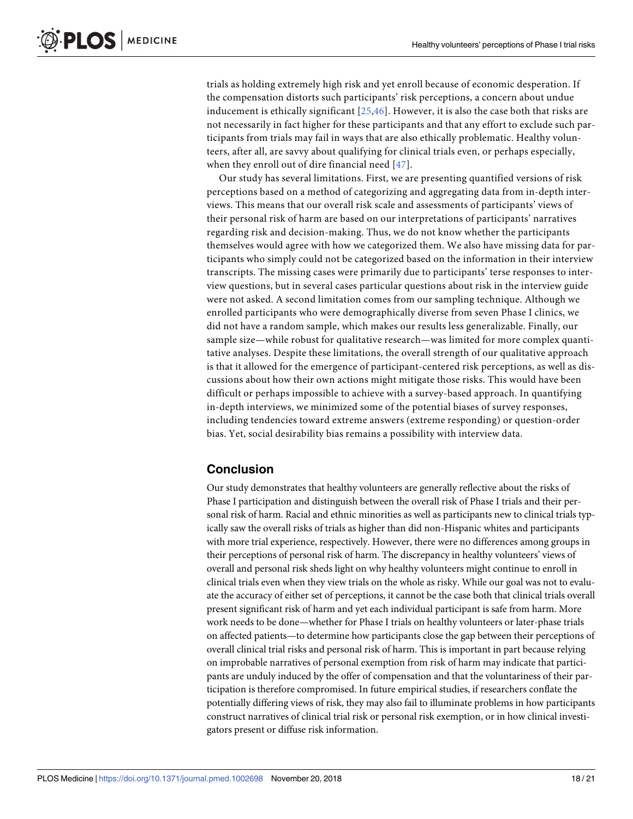<span id="page-17-0"></span>trials as holding extremely high risk and yet enroll because of economic desperation. If the compensation distorts such participants' risk perceptions, a concern about undue inducement is ethically significant [\[25](#page-19-0),[46\]](#page-20-0). However, it is also the case both that risks are not necessarily in fact higher for these participants and that any effort to exclude such participants from trials may fail in ways that are also ethically problematic. Healthy volunteers, after all, are savvy about qualifying for clinical trials even, or perhaps especially, when they enroll out of dire financial need [[47](#page-20-0)].

Our study has several limitations. First, we are presenting quantified versions of risk perceptions based on a method of categorizing and aggregating data from in-depth interviews. This means that our overall risk scale and assessments of participants' views of their personal risk of harm are based on our interpretations of participants' narratives regarding risk and decision-making. Thus, we do not know whether the participants themselves would agree with how we categorized them. We also have missing data for participants who simply could not be categorized based on the information in their interview transcripts. The missing cases were primarily due to participants' terse responses to interview questions, but in several cases particular questions about risk in the interview guide were not asked. A second limitation comes from our sampling technique. Although we enrolled participants who were demographically diverse from seven Phase I clinics, we did not have a random sample, which makes our results less generalizable. Finally, our sample size—while robust for qualitative research—was limited for more complex quantitative analyses. Despite these limitations, the overall strength of our qualitative approach is that it allowed for the emergence of participant-centered risk perceptions, as well as discussions about how their own actions might mitigate those risks. This would have been difficult or perhaps impossible to achieve with a survey-based approach. In quantifying in-depth interviews, we minimized some of the potential biases of survey responses, including tendencies toward extreme answers (extreme responding) or question-order bias. Yet, social desirability bias remains a possibility with interview data.

# **Conclusion**

Our study demonstrates that healthy volunteers are generally reflective about the risks of Phase I participation and distinguish between the overall risk of Phase I trials and their personal risk of harm. Racial and ethnic minorities as well as participants new to clinical trials typically saw the overall risks of trials as higher than did non-Hispanic whites and participants with more trial experience, respectively. However, there were no differences among groups in their perceptions of personal risk of harm. The discrepancy in healthy volunteers' views of overall and personal risk sheds light on why healthy volunteers might continue to enroll in clinical trials even when they view trials on the whole as risky. While our goal was not to evaluate the accuracy of either set of perceptions, it cannot be the case both that clinical trials overall present significant risk of harm and yet each individual participant is safe from harm. More work needs to be done—whether for Phase I trials on healthy volunteers or later-phase trials on affected patients—to determine how participants close the gap between their perceptions of overall clinical trial risks and personal risk of harm. This is important in part because relying on improbable narratives of personal exemption from risk of harm may indicate that participants are unduly induced by the offer of compensation and that the voluntariness of their participation is therefore compromised. In future empirical studies, if researchers conflate the potentially differing views of risk, they may also fail to illuminate problems in how participants construct narratives of clinical trial risk or personal risk exemption, or in how clinical investigators present or diffuse risk information.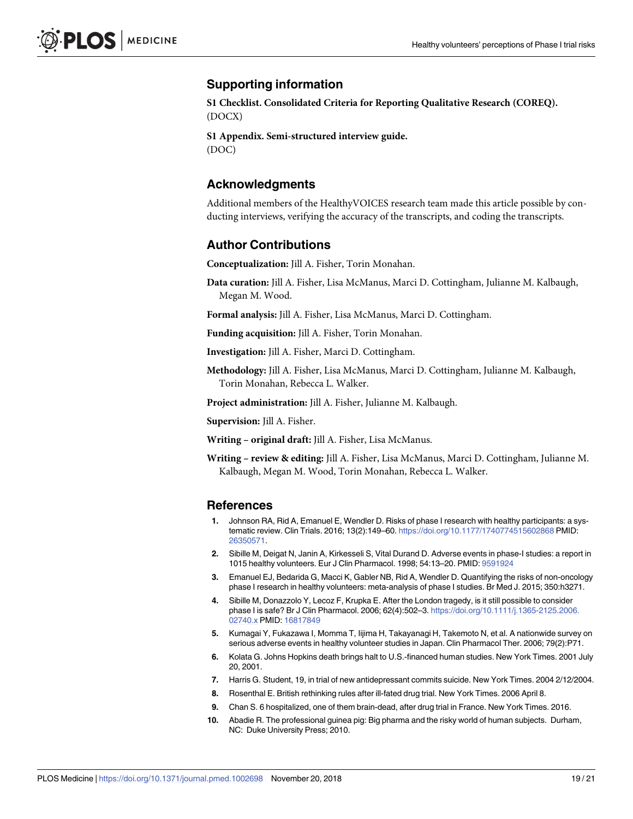# <span id="page-18-0"></span>**Supporting information**

**S1 [Checklist.](http://journals.plos.org/plosmedicine/article/asset?unique&id=info:doi/10.1371/journal.pmed.1002698.s001) Consolidated Criteria for Reporting Qualitative Research (COREQ).** (DOCX)

**S1 [Appendix](http://journals.plos.org/plosmedicine/article/asset?unique&id=info:doi/10.1371/journal.pmed.1002698.s002). Semi-structured interview guide.** (DOC)

# **Acknowledgments**

Additional members of the HealthyVOICES research team made this article possible by conducting interviews, verifying the accuracy of the transcripts, and coding the transcripts.

#### **Author Contributions**

**Conceptualization:** Jill A. Fisher, Torin Monahan.

- **Data curation:** Jill A. Fisher, Lisa McManus, Marci D. Cottingham, Julianne M. Kalbaugh, Megan M. Wood.
- **Formal analysis:** Jill A. Fisher, Lisa McManus, Marci D. Cottingham.

**Funding acquisition:** Jill A. Fisher, Torin Monahan.

**Investigation:** Jill A. Fisher, Marci D. Cottingham.

**Methodology:** Jill A. Fisher, Lisa McManus, Marci D. Cottingham, Julianne M. Kalbaugh, Torin Monahan, Rebecca L. Walker.

**Project administration:** Jill A. Fisher, Julianne M. Kalbaugh.

**Supervision:** Jill A. Fisher.

**Writing – original draft:** Jill A. Fisher, Lisa McManus.

**Writing – review & editing:** Jill A. Fisher, Lisa McManus, Marci D. Cottingham, Julianne M. Kalbaugh, Megan M. Wood, Torin Monahan, Rebecca L. Walker.

#### **References**

- **[1](#page-2-0).** Johnson RA, Rid A, Emanuel E, Wendler D. Risks of phase I research with healthy participants: a systematic review. Clin Trials. 2016; 13(2):149–60. <https://doi.org/10.1177/1740774515602868> PMID: [26350571](http://www.ncbi.nlm.nih.gov/pubmed/26350571).
- **[2](#page-2-0).** Sibille M, Deigat N, Janin A, Kirkesseli S, Vital Durand D. Adverse events in phase-I studies: a report in 1015 healthy volunteers. Eur J Clin Pharmacol. 1998; 54:13–20. PMID: [9591924](http://www.ncbi.nlm.nih.gov/pubmed/9591924)
- **[3](#page-15-0).** Emanuel EJ, Bedarida G, Macci K, Gabler NB, Rid A, Wendler D. Quantifying the risks of non-oncology phase I research in healthy volunteers: meta-analysis of phase I studies. Br Med J. 2015; 350:h3271.
- **4.** Sibille M, Donazzolo Y, Lecoz F, Krupka E. After the London tragedy, is it still possible to consider phase I is safe? Br J Clin Pharmacol. 2006; 62(4):502–3. [https://doi.org/10.1111/j.1365-2125.2006.](https://doi.org/10.1111/j.1365-2125.2006.02740.x) [02740.x](https://doi.org/10.1111/j.1365-2125.2006.02740.x) PMID: [16817849](http://www.ncbi.nlm.nih.gov/pubmed/16817849)
- **[5](#page-2-0).** Kumagai Y, Fukazawa I, Momma T, Iijima H, Takayanagi H, Takemoto N, et al. A nationwide survey on serious adverse events in healthy volunteer studies in Japan. Clin Pharmacol Ther. 2006; 79(2):P71.
- **[6](#page-2-0).** Kolata G. Johns Hopkins death brings halt to U.S.-financed human studies. New York Times. 2001 July 20, 2001.
- **7.** Harris G. Student, 19, in trial of new antidepressant commits suicide. New York Times. 2004 2/12/2004.
- **8.** Rosenthal E. British rethinking rules after ill-fated drug trial. New York Times. 2006 April 8.
- **[9](#page-2-0).** Chan S. 6 hospitalized, one of them brain-dead, after drug trial in France. New York Times. 2016.
- **[10](#page-2-0).** Abadie R. The professional guinea pig: Big pharma and the risky world of human subjects. Durham, NC: Duke University Press; 2010.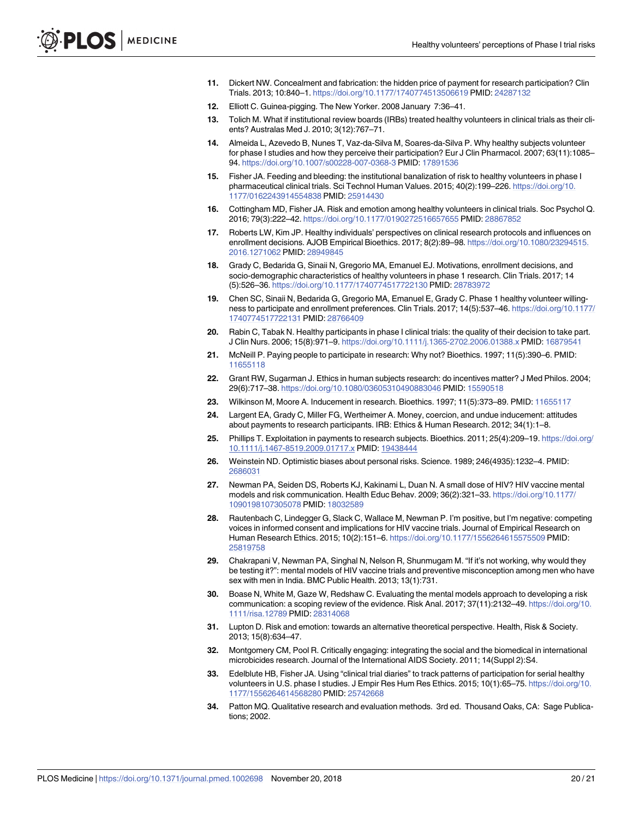- <span id="page-19-0"></span>**11.** Dickert NW. Concealment and fabrication: the hidden price of payment for research participation? Clin Trials. 2013; 10:840–1. <https://doi.org/10.1177/1740774513506619> PMID: [24287132](http://www.ncbi.nlm.nih.gov/pubmed/24287132)
- **12.** Elliott C. Guinea-pigging. The New Yorker. 2008 January 7:36–41.
- **13.** Tolich M. What if institutional review boards (IRBs) treated healthy volunteers in clinical trials as their clients? Australas Med J. 2010; 3(12):767–71.
- **[14](#page-2-0).** Almeida L, Azevedo B, Nunes T, Vaz-da-Silva M, Soares-da-Silva P. Why healthy subjects volunteer for phase I studies and how they perceive their participation? Eur J Clin Pharmacol. 2007; 63(11):1085– 94. <https://doi.org/10.1007/s00228-007-0368-3> PMID: [17891536](http://www.ncbi.nlm.nih.gov/pubmed/17891536)
- **[15](#page-2-0).** Fisher JA. Feeding and bleeding: the institutional banalization of risk to healthy volunteers in phase I pharmaceutical clinical trials. Sci Technol Human Values. 2015; 40(2):199–226. [https://doi.org/10.](https://doi.org/10.1177/0162243914554838) [1177/0162243914554838](https://doi.org/10.1177/0162243914554838) PMID: [25914430](http://www.ncbi.nlm.nih.gov/pubmed/25914430)
- **[16](#page-2-0).** Cottingham MD, Fisher JA. Risk and emotion among healthy volunteers in clinical trials. Soc Psychol Q. 2016; 79(3):222–42. <https://doi.org/10.1177/0190272516657655> PMID: [28867852](http://www.ncbi.nlm.nih.gov/pubmed/28867852)
- **[17](#page-2-0).** Roberts LW, Kim JP. Healthy individuals' perspectives on clinical research protocols and influences on enrollment decisions. AJOB Empirical Bioethics. 2017; 8(2):89–98. [https://doi.org/10.1080/23294515.](https://doi.org/10.1080/23294515.2016.1271062) [2016.1271062](https://doi.org/10.1080/23294515.2016.1271062) PMID: [28949845](http://www.ncbi.nlm.nih.gov/pubmed/28949845)
- **[18](#page-2-0).** Grady C, Bedarida G, Sinaii N, Gregorio MA, Emanuel EJ. Motivations, enrollment decisions, and socio-demographic characteristics of healthy volunteers in phase 1 research. Clin Trials. 2017; 14 (5):526–36. <https://doi.org/10.1177/1740774517722130> PMID: [28783972](http://www.ncbi.nlm.nih.gov/pubmed/28783972)
- **[19](#page-2-0).** Chen SC, Sinaii N, Bedarida G, Gregorio MA, Emanuel E, Grady C. Phase 1 healthy volunteer willingness to participate and enrollment preferences. Clin Trials. 2017; 14(5):537–46. [https://doi.org/10.1177/](https://doi.org/10.1177/1740774517722131) [1740774517722131](https://doi.org/10.1177/1740774517722131) PMID: [28766409](http://www.ncbi.nlm.nih.gov/pubmed/28766409)
- **[20](#page-2-0).** Rabin C, Tabak N. Healthy participants in phase I clinical trials: the quality of their decision to take part. J Clin Nurs. 2006; 15(8):971–9. <https://doi.org/10.1111/j.1365-2702.2006.01388.x> PMID: [16879541](http://www.ncbi.nlm.nih.gov/pubmed/16879541)
- **21.** McNeill P. Paying people to participate in research: Why not? Bioethics. 1997; 11(5):390–6. PMID: [11655118](http://www.ncbi.nlm.nih.gov/pubmed/11655118)
- **[22](#page-2-0).** Grant RW, Sugarman J. Ethics in human subjects research: do incentives matter? J Med Philos. 2004; 29(6):717–38. <https://doi.org/10.1080/03605310490883046> PMID: [15590518](http://www.ncbi.nlm.nih.gov/pubmed/15590518)
- **[23](#page-2-0).** Wilkinson M, Moore A. Inducement in research. Bioethics. 1997; 11(5):373–89. PMID: [11655117](http://www.ncbi.nlm.nih.gov/pubmed/11655117)
- **24.** Largent EA, Grady C, Miller FG, Wertheimer A. Money, coercion, and undue inducement: attitudes about payments to research participants. IRB: Ethics & Human Research. 2012; 34(1):1–8.
- **[25](#page-2-0).** Phillips T. Exploitation in payments to research subjects. Bioethics. 2011; 25(4):209–19. [https://doi.org/](https://doi.org/10.1111/j.1467-8519.2009.01717.x) [10.1111/j.1467-8519.2009.01717.x](https://doi.org/10.1111/j.1467-8519.2009.01717.x) PMID: [19438444](http://www.ncbi.nlm.nih.gov/pubmed/19438444)
- **[26](#page-2-0).** Weinstein ND. Optimistic biases about personal risks. Science. 1989; 246(4935):1232–4. PMID: [2686031](http://www.ncbi.nlm.nih.gov/pubmed/2686031)
- **[27](#page-2-0).** Newman PA, Seiden DS, Roberts KJ, Kakinami L, Duan N. A small dose of HIV? HIV vaccine mental models and risk communication. Health Educ Behav. 2009; 36(2):321–33. [https://doi.org/10.1177/](https://doi.org/10.1177/1090198107305078) [1090198107305078](https://doi.org/10.1177/1090198107305078) PMID: [18032589](http://www.ncbi.nlm.nih.gov/pubmed/18032589)
- **[28](#page-15-0).** Rautenbach C, Lindegger G, Slack C, Wallace M, Newman P. I'm positive, but I'm negative: competing voices in informed consent and implications for HIV vaccine trials. Journal of Empirical Research on Human Research Ethics. 2015; 10(2):151–6. <https://doi.org/10.1177/1556264615575509> PMID: [25819758](http://www.ncbi.nlm.nih.gov/pubmed/25819758)
- **[29](#page-2-0).** Chakrapani V, Newman PA, Singhal N, Nelson R, Shunmugam M. "If it's not working, why would they be testing it?": mental models of HIV vaccine trials and preventive misconception among men who have sex with men in India. BMC Public Health. 2013; 13(1):731.
- **[30](#page-2-0).** Boase N, White M, Gaze W, Redshaw C. Evaluating the mental models approach to developing a risk communication: a scoping review of the evidence. Risk Anal. 2017; 37(11):2132–49. [https://doi.org/10.](https://doi.org/10.1111/risa.12789) [1111/risa.12789](https://doi.org/10.1111/risa.12789) PMID: [28314068](http://www.ncbi.nlm.nih.gov/pubmed/28314068)
- **[31](#page-2-0).** Lupton D. Risk and emotion: towards an alternative theoretical perspective. Health, Risk & Society. 2013; 15(8):634–47.
- **[32](#page-2-0).** Montgomery CM, Pool R. Critically engaging: integrating the social and the biomedical in international microbicides research. Journal of the International AIDS Society. 2011; 14(Suppl 2):S4.
- **[33](#page-3-0).** Edelblute HB, Fisher JA. Using "clinical trial diaries" to track patterns of participation for serial healthy volunteers in U.S. phase I studies. J Empir Res Hum Res Ethics. 2015; 10(1):65–75. [https://doi.org/10.](https://doi.org/10.1177/1556264614568280) [1177/1556264614568280](https://doi.org/10.1177/1556264614568280) PMID: [25742668](http://www.ncbi.nlm.nih.gov/pubmed/25742668)
- **[34](#page-4-0).** Patton MQ. Qualitative research and evaluation methods. 3rd ed. Thousand Oaks, CA: Sage Publications; 2002.